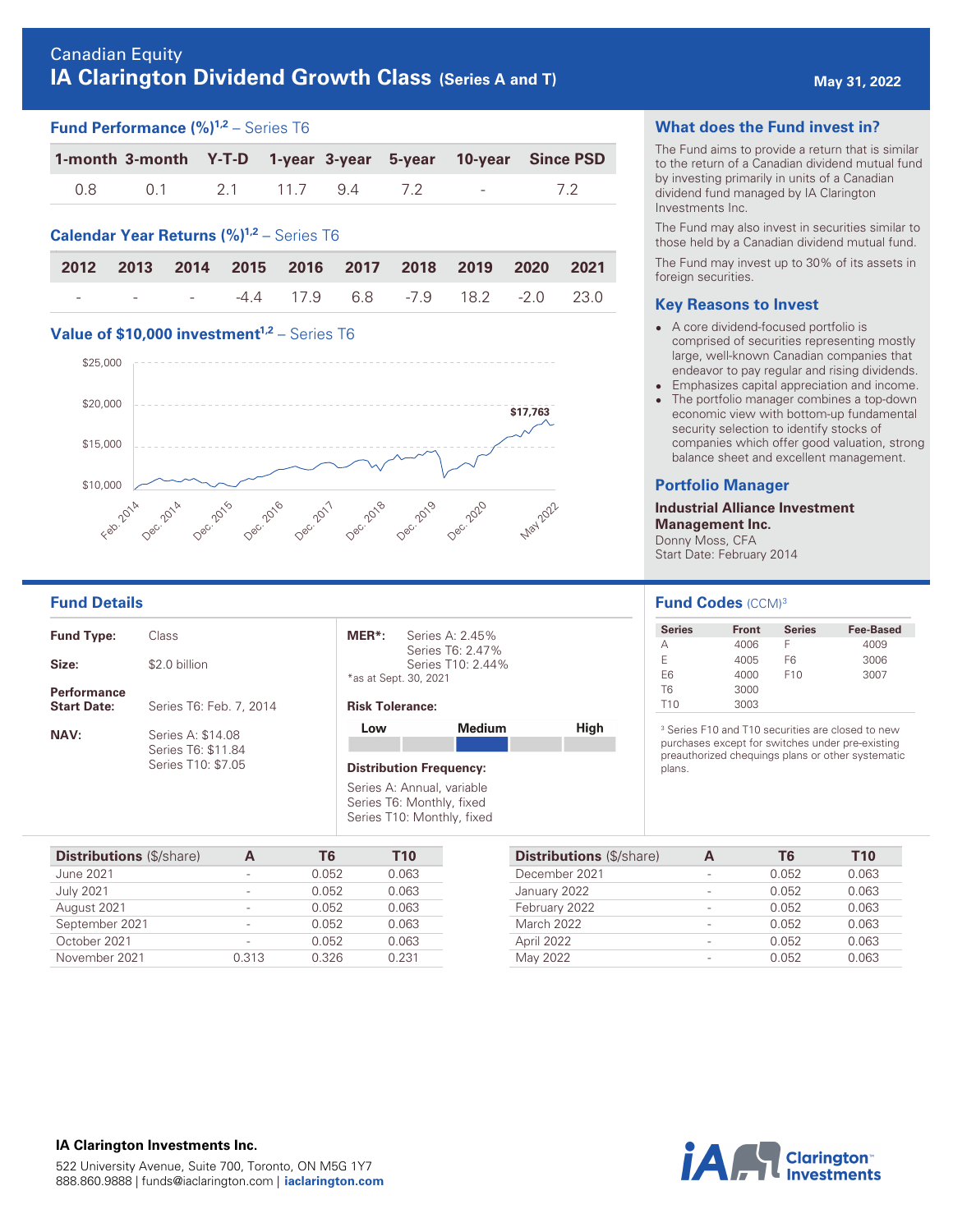# Canadian Equity **IA Clarington Dividend Growth Class (Series A and T) May 31, 2022 May 31, 2022**

## **Fund Performance (%) 1,2** – Series T6

|       |    |              |  |                            | 1-month 3-month Y-T-D 1-year 3-year 5-year 10-year Since PSD |
|-------|----|--------------|--|----------------------------|--------------------------------------------------------------|
| 0.8 D | 01 | 2.1 11.7 9.4 |  | and the state of the state |                                                              |

## **Calendar Year Returns (%) 1,2** – Series T6

|  |  |  |  | 2012 2013 2014 2015 2016 2017 2018 2019 2020 2021 |
|--|--|--|--|---------------------------------------------------|
|  |  |  |  |                                                   |

## **Value of \$10,000 investment<sup>1,2</sup> - Series T6**



| <b>Fund Type:</b>                        | Class                                                         |
|------------------------------------------|---------------------------------------------------------------|
| Size:                                    | \$2.0 billion                                                 |
| <b>Performance</b><br><b>Start Date:</b> | Series T6: Feb. 7, 2014                                       |
| <b>NAV:</b>                              | Series A: \$14.08<br>Series T6: \$11.84<br>Series T10: \$7.05 |

**MER\*:** Series A: 2.45% Series T6: 2.47% Series T10: 2.44% \*as at Sept. 30, 2021

#### **Risk Tolerance:**

| Low                            | Medium | High |
|--------------------------------|--------|------|
| <b>Distribution Frequency:</b> |        |      |
| Series A: Annual, variable     |        |      |

Series T6: Monthly, fixed Series T10: Monthly, fixed

| <b>Distributions (\$/share)</b> |       | T6    | T <sub>10</sub> |
|---------------------------------|-------|-------|-----------------|
| June 2021                       |       | 0.052 | 0.063           |
| <b>July 2021</b>                |       | 0.052 | 0.063           |
| August 2021                     | -     | 0.052 | 0.063           |
| September 2021                  | -     | 0.052 | 0.063           |
| October 2021                    |       | 0.052 | 0.063           |
| November 2021                   | 0.313 | 0.326 | 0.231           |

#### **What does the Fund invest in?**

The Fund aims to provide a return that is similar to the return of a Canadian dividend mutual fund by investing primarily in units of a Canadian dividend fund managed by IA Clarington Investments Inc.

The Fund may also invest in securities similar to those held by a Canadian dividend mutual fund.

The Fund may invest up to 30% of its assets in foreign securities.

#### **Key Reasons to Invest**

- A core dividend-focused portfolio is comprised of securities representing mostly large, well-known Canadian companies that endeavor to pay regular and rising dividends.
- $\bullet$ Emphasizes capital appreciation and income.
- The portfolio manager combines a top-down economic view with bottom-up fundamental security selection to identify stocks of companies which offer good valuation, strong balance sheet and excellent management.

#### **Portfolio Manager**

**Industrial Alliance Investment Management Inc.**  Donny Moss, CFA Start Date: February 2014

### **Fund Details Fund Codes**  $(CCM)^3$

| <b>Series</b>  | <b>Front</b> | <b>Series</b>   | Fee-Based |
|----------------|--------------|-----------------|-----------|
| А              | 4006         |                 | 4009      |
| F              | 4005         | F6              | 3006      |
| F <sub>6</sub> | 4000         | F <sub>10</sub> | 3007      |
| T <sub>6</sub> | 3000         |                 |           |
| T10            | 3003         |                 |           |

3 Series F10 and T10 securities are closed to new purchases except for switches under pre-existing preauthorized chequings plans or other systematic plans.

| <b>Distributions (\$/share)</b> | T6    | T <sub>10</sub> |
|---------------------------------|-------|-----------------|
| December 2021                   | 0.052 | 0.063           |
| January 2022                    | 0.052 | 0.063           |
| February 2022                   | 0.052 | 0.063           |
| <b>March 2022</b>               | 0.052 | 0.063           |
| April 2022                      | 0.052 | 0.063           |
| May 2022                        | 0.052 | 0.063           |



#### **IA Clarington Investments Inc.**  522 University Avenue, Suite 700, Toronto, ON M5G 1Y7 888.860.9888 | funds@iaclarington.com | **[iaclarington.com](http://iaclarington.com)**